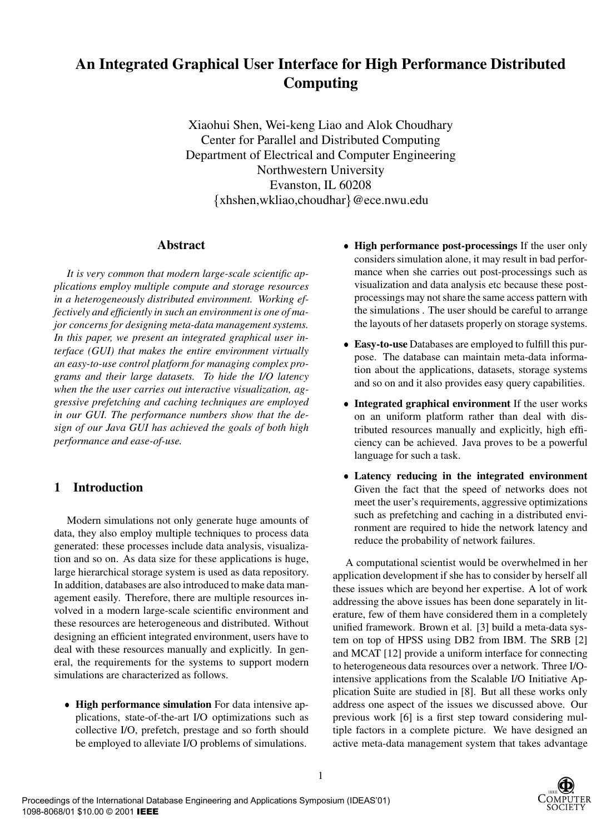# **An Integrated Graphical User Interface for High Performance Distributed Computing**

Xiaohui Shen, Wei-keng Liao and Alok Choudhary Center for Parallel and Distributed Computing Department of Electrical and Computer Engineering Northwestern University Evanston, IL 60208 {xhshen,wkliao,choudhar}@ece.nwu.edu

## **Abstract**

*It is very common that modern large-scale scientific applications employ multiple compute and storage resources in a heterogeneously distributed environment. Working effectively and efficiently in such an environment is one of major concerns for designing meta-data management systems. In this paper, we present an integrated graphical user interface (GUI) that makes the entire environment virtually an easy-to-use control platform for managing complex programs and their large datasets. To hide the I/O latency when the the user carries out interactive visualization, aggressive prefetching and caching techniques are employed in our GUI. The performance numbers show that the design of our Java GUI has achieved the goals of both high performance and ease-of-use.*

# **1 Introduction**

Modern simulations not only generate huge amounts of data, they also employ multiple techniques to process data generated: these processes include data analysis, visualization and so on. As data size for these applications is huge, large hierarchical storage system is used as data repository. In addition, databases are also introduced to make data management easily. Therefore, there are multiple resources involved in a modern large-scale scientific environment and these resources are heterogeneous and distributed. Without designing an efficient integrated environment, users have to deal with these resources manually and explicitly. In general, the requirements for the systems to support modern simulations are characterized as follows.

 **High performance simulation** For data intensive applications, state-of-the-art I/O optimizations such as collective I/O, prefetch, prestage and so forth should be employed to alleviate I/O problems of simulations.

- **High performance post-processings** If the user only considers simulation alone, it may result in bad performance when she carries out post-processings such as visualization and data analysis etc because these postprocessings may not share the same access pattern with the simulations . The user should be careful to arrange the layouts of her datasets properly on storage systems.
- **Easy-to-use** Databases are employed to fulfill this purpose. The database can maintain meta-data information about the applications, datasets, storage systems and so on and it also provides easy query capabilities.
- **Integrated graphical environment** If the user works on an uniform platform rather than deal with distributed resources manually and explicitly, high efficiency can be achieved. Java proves to be a powerful language for such a task.
- **Latency reducing in the integrated environment** Given the fact that the speed of networks does not meet the user's requirements, aggressive optimizations such as prefetching and caching in a distributed environment are required to hide the network latency and reduce the probability of network failures.

A computational scientist would be overwhelmed in her application development if she has to consider by herself all these issues which are beyond her expertise. A lot of work addressing the above issues has been done separately in literature, few of them have considered them in a completely unified framework. Brown et al. [3] build a meta-data system on top of HPSS using DB2 from IBM. The SRB [2] and MCAT [12] provide a uniform interface for connecting to heterogeneous data resources over a network. Three I/Ointensive applications from the Scalable I/O Initiative Application Suite are studied in [8]. But all these works only address one aspect of the issues we discussed above. Our previous work [6] is a first step toward considering multiple factors in a complete picture. We have designed an active meta-data management system that takes advantage

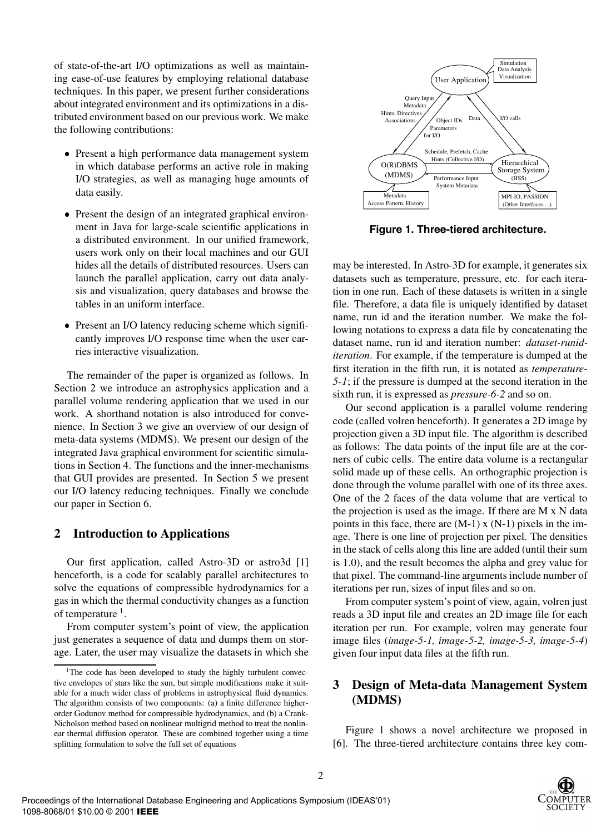of state-of-the-art I/O optimizations as well as maintaining ease-of-use features by employing relational database techniques. In this paper, we present further considerations about integrated environment and its optimizations in a distributed environment based on our previous work. We make the following contributions:

- Present a high performance data management system in which database performs an active role in making I/O strategies, as well as managing huge amounts of data easily.
- Present the design of an integrated graphical environment in Java for large-scale scientific applications in a distributed environment. In our unified framework, users work only on their local machines and our GUI hides all the details of distributed resources. Users can launch the parallel application, carry out data analysis and visualization, query databases and browse the tables in an uniform interface.
- Present an I/O latency reducing scheme which significantly improves I/O response time when the user carries interactive visualization.

The remainder of the paper is organized as follows. In Section 2 we introduce an astrophysics application and a parallel volume rendering application that we used in our work. A shorthand notation is also introduced for convenience. In Section 3 we give an overview of our design of meta-data systems (MDMS). We present our design of the integrated Java graphical environment for scientific simulations in Section 4. The functions and the inner-mechanisms that GUI provides are presented. In Section 5 we present our I/O latency reducing techniques. Finally we conclude our paper in Section 6.

## **2 Introduction to Applications**

Our first application, called Astro-3D or astro3d [1] henceforth, is a code for scalably parallel architectures to solve the equations of compressible hydrodynamics for a gas in which the thermal conductivity changes as a function of temperature  $\frac{1}{1}$ .

From computer system's point of view, the application just generates a sequence of data and dumps them on storage. Later, the user may visualize the datasets in which she



**Figure 1. Three-tiered architecture.**

may be interested. In Astro-3D for example, it generates six datasets such as temperature, pressure, etc. for each iteration in one run. Each of these datasets is written in a single file. Therefore, a data file is uniquely identified by dataset name, run id and the iteration number. We make the following notations to express a data file by concatenating the dataset name, run id and iteration number: *dataset-runiditeration*. For example, if the temperature is dumped at the first iteration in the fifth run, it is notated as *temperature-5-1*; if the pressure is dumped at the second iteration in the sixth run, it is expressed as *pressure-6-2* and so on.

Our second application is a parallel volume rendering code (called volren henceforth). It generates a 2D image by projection given a 3D input file. The algorithm is described as follows: The data points of the input file are at the corners of cubic cells. The entire data volume is a rectangular solid made up of these cells. An orthographic projection is done through the volume parallel with one of its three axes. One of the 2 faces of the data volume that are vertical to the projection is used as the image. If there are M x N data points in this face, there are  $(M-1)$  x  $(N-1)$  pixels in the image. There is one line of projection per pixel. The densities in the stack of cells along this line are added (until their sum is 1.0), and the result becomes the alpha and grey value for that pixel. The command-line arguments include number of iterations per run, sizes of input files and so on.

From computer system's point of view, again, volren just reads a 3D input file and creates an 2D image file for each iteration per run. For example, volren may generate four image files (*image-5-1, image-5-2, image-5-3, image-5-4*) given four input data files at the fifth run.

## **3 Design of Meta-data Management System (MDMS)**

Figure 1 shows a novel architecture we proposed in [6]. The three-tiered architecture contains three key com-



<sup>&</sup>lt;sup>1</sup>The code has been developed to study the highly turbulent convective envelopes of stars like the sun, but simple modifications make it suitable for a much wider class of problems in astrophysical fluid dynamics. The algorithm consists of two components: (a) a finite difference higherorder Godunov method for compressible hydrodynamics, and (b) a Crank-Nicholson method based on nonlinear multigrid method to treat the nonlinear thermal diffusion operator. These are combined together using a time splitting formulation to solve the full set of equations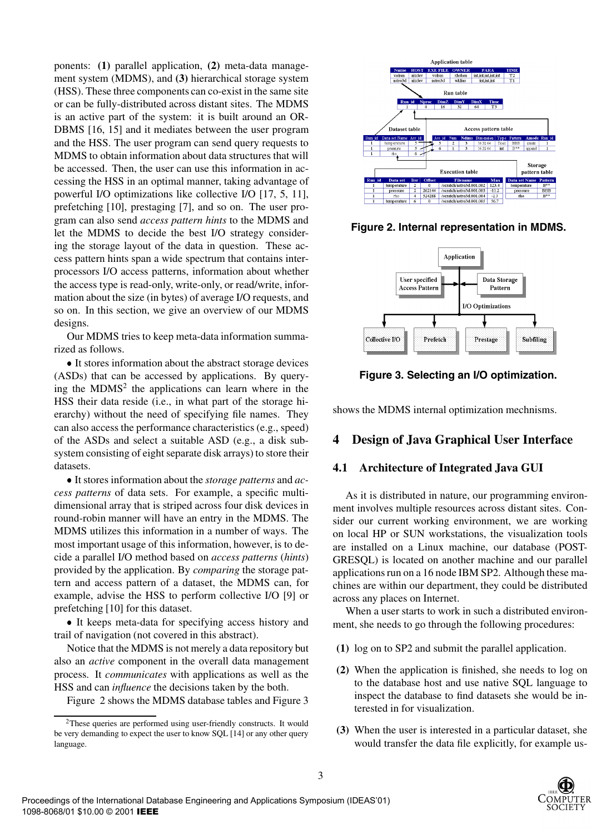ponents: **(1)** parallel application, **(2)** meta-data management system (MDMS), and **(3)** hierarchical storage system (HSS). These three components can co-exist in the same site or can be fully-distributed across distant sites. The MDMS is an active part of the system: it is built around an OR-DBMS [16, 15] and it mediates between the user program and the HSS. The user program can send query requests to MDMS to obtain information about data structures that will be accessed. Then, the user can use this information in accessing the HSS in an optimal manner, taking advantage of powerful I/O optimizations like collective I/O [17, 5, 11], prefetching [10], prestaging [7], and so on. The user program can also send *access pattern hints* to the MDMS and let the MDMS to decide the best I/O strategy considering the storage layout of the data in question. These access pattern hints span a wide spectrum that contains interprocessors I/O access patterns, information about whether the access type is read-only, write-only, or read/write, information about the size (in bytes) of average I/O requests, and so on. In this section, we give an overview of our MDMS designs.

Our MDMS tries to keep meta-data information summarized as follows.

 It stores information about the abstract storage devices (ASDs) that can be accessed by applications. By querying the  $MDMS<sup>2</sup>$  the applications can learn where in the HSS their data reside (i.e., in what part of the storage hierarchy) without the need of specifying file names. They can also access the performance characteristics (e.g., speed) of the ASDs and select a suitable ASD (e.g., a disk subsystem consisting of eight separate disk arrays) to store their datasets.

 It stores information about the *storage patterns* and *access patterns* of data sets. For example, a specific multidimensional array that is striped across four disk devices in round-robin manner will have an entry in the MDMS. The MDMS utilizes this information in a number of ways. The most important usage of this information, however, is to decide a parallel I/O method based on *access patterns* (*hints*) provided by the application. By *comparing* the storage pattern and access pattern of a dataset, the MDMS can, for example, advise the HSS to perform collective I/O [9] or prefetching [10] for this dataset.

 It keeps meta-data for specifying access history and trail of navigation (not covered in this abstract).

Notice that the MDMS is not merely a data repository but also an *active* component in the overall data management process. It *communicates* with applications as well as the HSS and can *influence* the decisions taken by the both.

Figure 2 shows the MDMS database tables and Figure 3



**Figure 2. Internal representation in MDMS.**



**Figure 3. Selecting an I/O optimization.**

shows the MDMS internal optimization mechnisms.

## **4 Design of Java Graphical User Interface**

## **4.1 Architecture of Integrated Java GUI**

As it is distributed in nature, our programming environment involves multiple resources across distant sites. Consider our current working environment, we are working on local HP or SUN workstations, the visualization tools are installed on a Linux machine, our database (POST-GRESQL) is located on another machine and our parallel applications run on a 16 node IBM SP2. Although these machines are within our department, they could be distributed across any places on Internet.

When a user starts to work in such a distributed environment, she needs to go through the following procedures:

- **(1)** log on to SP2 and submit the parallel application.
- **(2)** When the application is finished, she needs to log on to the database host and use native SQL language to inspect the database to find datasets she would be interested in for visualization.
- **(3)** When the user is interested in a particular dataset, she would transfer the data file explicitly, for example us-



<sup>&</sup>lt;sup>2</sup>These queries are performed using user-friendly constructs. It would be very demanding to expect the user to know SQL [14] or any other query language.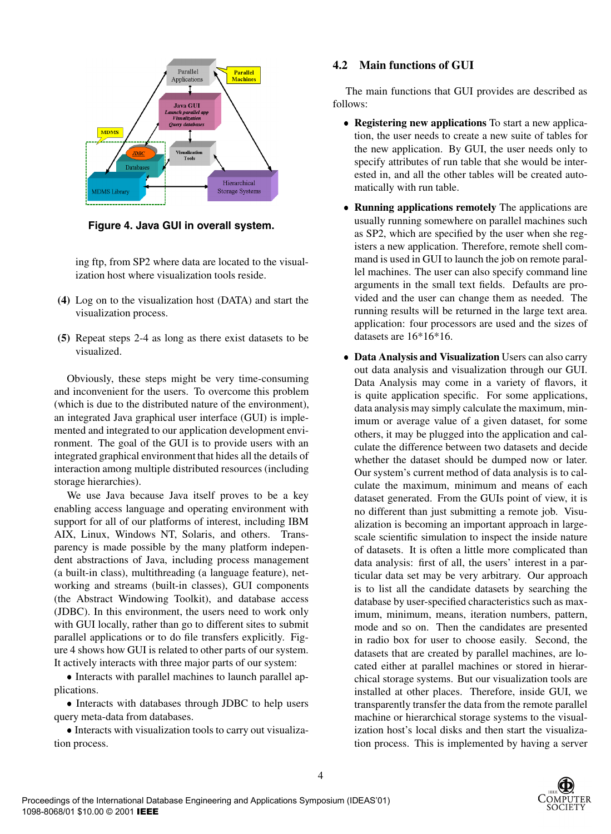

**Figure 4. Java GUI in overall system.**

ing ftp, from SP2 where data are located to the visualization host where visualization tools reside.

- **(4)** Log on to the visualization host (DATA) and start the visualization process.
- **(5)** Repeat steps 2-4 as long as there exist datasets to be visualized.

Obviously, these steps might be very time-consuming and inconvenient for the users. To overcome this problem (which is due to the distributed nature of the environment), an integrated Java graphical user interface (GUI) is implemented and integrated to our application development environment. The goal of the GUI is to provide users with an integrated graphical environment that hides all the details of interaction among multiple distributed resources (including storage hierarchies).

We use Java because Java itself proves to be a key enabling access language and operating environment with support for all of our platforms of interest, including IBM AIX, Linux, Windows NT, Solaris, and others. Transparency is made possible by the many platform independent abstractions of Java, including process management (a built-in class), multithreading (a language feature), networking and streams (built-in classes), GUI components (the Abstract Windowing Toolkit), and database access (JDBC). In this environment, the users need to work only with GUI locally, rather than go to different sites to submit parallel applications or to do file transfers explicitly. Figure 4 shows how GUI is related to other parts of our system. It actively interacts with three major parts of our system:

• Interacts with parallel machines to launch parallel applications.

• Interacts with databases through JDBC to help users query meta-data from databases.

 Interacts with visualization tools to carry out visualization process.

#### **4.2 Main functions of GUI**

The main functions that GUI provides are described as follows:

- **Registering new applications** To start a new application, the user needs to create a new suite of tables for the new application. By GUI, the user needs only to specify attributes of run table that she would be interested in, and all the other tables will be created automatically with run table.
- **Running applications remotely** The applications are usually running somewhere on parallel machines such as SP2, which are specified by the user when she registers a new application. Therefore, remote shell command is used in GUI to launch the job on remote parallel machines. The user can also specify command line arguments in the small text fields. Defaults are provided and the user can change them as needed. The running results will be returned in the large text area. application: four processors are used and the sizes of datasets are 16\*16\*16.
- **Data Analysis and Visualization** Users can also carry out data analysis and visualization through our GUI. Data Analysis may come in a variety of flavors, it is quite application specific. For some applications, data analysis may simply calculate the maximum, minimum or average value of a given dataset, for some others, it may be plugged into the application and calculate the difference between two datasets and decide whether the dataset should be dumped now or later. Our system's current method of data analysis is to calculate the maximum, minimum and means of each dataset generated. From the GUIs point of view, it is no different than just submitting a remote job. Visualization is becoming an important approach in largescale scientific simulation to inspect the inside nature of datasets. It is often a little more complicated than data analysis: first of all, the users' interest in a particular data set may be very arbitrary. Our approach is to list all the candidate datasets by searching the database by user-specified characteristics such as maximum, minimum, means, iteration numbers, pattern, mode and so on. Then the candidates are presented in radio box for user to choose easily. Second, the datasets that are created by parallel machines, are located either at parallel machines or stored in hierarchical storage systems. But our visualization tools are installed at other places. Therefore, inside GUI, we transparently transfer the data from the remote parallel machine or hierarchical storage systems to the visualization host's local disks and then start the visualization process. This is implemented by having a server



4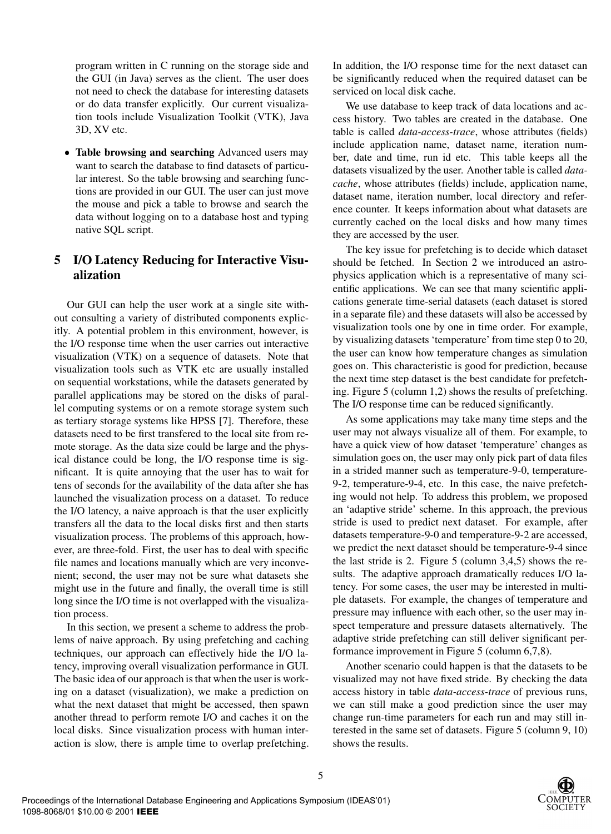program written in C running on the storage side and the GUI (in Java) serves as the client. The user does not need to check the database for interesting datasets or do data transfer explicitly. Our current visualization tools include Visualization Toolkit (VTK), Java 3D, XV etc.

 **Table browsing and searching** Advanced users may want to search the database to find datasets of particular interest. So the table browsing and searching functions are provided in our GUI. The user can just move the mouse and pick a table to browse and search the data without logging on to a database host and typing native SQL script.

# **5 I/O Latency Reducing for Interactive Visualization**

Our GUI can help the user work at a single site without consulting a variety of distributed components explicitly. A potential problem in this environment, however, is the I/O response time when the user carries out interactive visualization (VTK) on a sequence of datasets. Note that visualization tools such as VTK etc are usually installed on sequential workstations, while the datasets generated by parallel applications may be stored on the disks of parallel computing systems or on a remote storage system such as tertiary storage systems like HPSS [7]. Therefore, these datasets need to be first transfered to the local site from remote storage. As the data size could be large and the physical distance could be long, the I/O response time is significant. It is quite annoying that the user has to wait for tens of seconds for the availability of the data after she has launched the visualization process on a dataset. To reduce the I/O latency, a naive approach is that the user explicitly transfers all the data to the local disks first and then starts visualization process. The problems of this approach, however, are three-fold. First, the user has to deal with specific file names and locations manually which are very inconvenient; second, the user may not be sure what datasets she might use in the future and finally, the overall time is still long since the I/O time is not overlapped with the visualization process.

In this section, we present a scheme to address the problems of naive approach. By using prefetching and caching techniques, our approach can effectively hide the I/O latency, improving overall visualization performance in GUI. The basic idea of our approach is that when the user is working on a dataset (visualization), we make a prediction on what the next dataset that might be accessed, then spawn another thread to perform remote I/O and caches it on the local disks. Since visualization process with human interaction is slow, there is ample time to overlap prefetching. In addition, the I/O response time for the next dataset can be significantly reduced when the required dataset can be serviced on local disk cache.

We use database to keep track of data locations and access history. Two tables are created in the database. One table is called *data-access-trace*, whose attributes (fields) include application name, dataset name, iteration number, date and time, run id etc. This table keeps all the datasets visualized by the user. Another table is called *datacache*, whose attributes (fields) include, application name, dataset name, iteration number, local directory and reference counter. It keeps information about what datasets are currently cached on the local disks and how many times they are accessed by the user.

The key issue for prefetching is to decide which dataset should be fetched. In Section 2 we introduced an astrophysics application which is a representative of many scientific applications. We can see that many scientific applications generate time-serial datasets (each dataset is stored in a separate file) and these datasets will also be accessed by visualization tools one by one in time order. For example, by visualizing datasets'temperature' from time step 0 to 20, the user can know how temperature changes as simulation goes on. This characteristic is good for prediction, because the next time step dataset is the best candidate for prefetching. Figure 5 (column 1,2) shows the results of prefetching. The I/O response time can be reduced significantly.

As some applications may take many time steps and the user may not always visualize all of them. For example, to have a quick view of how dataset 'temperature' changes as simulation goes on, the user may only pick part of data files in a strided manner such as temperature-9-0, temperature-9-2, temperature-9-4, etc. In this case, the naive prefetching would not help. To address this problem, we proposed an 'adaptive stride' scheme. In this approach, the previous stride is used to predict next dataset. For example, after datasets temperature-9-0 and temperature-9-2 are accessed, we predict the next dataset should be temperature-9-4 since the last stride is 2. Figure 5 (column 3,4,5) shows the results. The adaptive approach dramatically reduces I/O latency. For some cases, the user may be interested in multiple datasets. For example, the changes of temperature and pressure may influence with each other, so the user may inspect temperature and pressure datasets alternatively. The adaptive stride prefetching can still deliver significant performance improvement in Figure 5 (column 6,7,8).

Another scenario could happen is that the datasets to be visualized may not have fixed stride. By checking the data access history in table *data-access-trace* of previous runs, we can still make a good prediction since the user may change run-time parameters for each run and may still interested in the same set of datasets. Figure 5 (column 9, 10) shows the results.